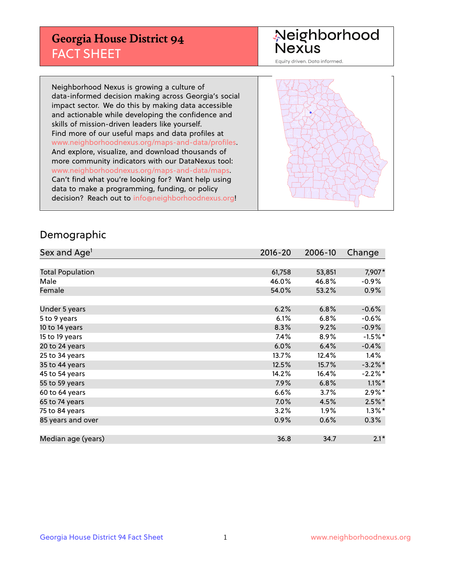## **Georgia House District 94** FACT SHEET

# Neighborhood<br>Nexus

Equity driven. Data informed.

Neighborhood Nexus is growing a culture of data-informed decision making across Georgia's social impact sector. We do this by making data accessible and actionable while developing the confidence and skills of mission-driven leaders like yourself. Find more of our useful maps and data profiles at www.neighborhoodnexus.org/maps-and-data/profiles. And explore, visualize, and download thousands of more community indicators with our DataNexus tool: www.neighborhoodnexus.org/maps-and-data/maps. Can't find what you're looking for? Want help using data to make a programming, funding, or policy decision? Reach out to [info@neighborhoodnexus.org!](mailto:info@neighborhoodnexus.org)



### Demographic

| Sex and Age <sup>1</sup> | $2016 - 20$ | 2006-10 | Change     |
|--------------------------|-------------|---------|------------|
|                          |             |         |            |
| <b>Total Population</b>  | 61,758      | 53,851  | 7,907*     |
| Male                     | 46.0%       | 46.8%   | $-0.9\%$   |
| Female                   | 54.0%       | 53.2%   | $0.9\%$    |
|                          |             |         |            |
| Under 5 years            | 6.2%        | 6.8%    | $-0.6%$    |
| 5 to 9 years             | 6.1%        | 6.8%    | $-0.6%$    |
| 10 to 14 years           | 8.3%        | 9.2%    | $-0.9%$    |
| 15 to 19 years           | 7.4%        | 8.9%    | $-1.5%$ *  |
| 20 to 24 years           | 6.0%        | 6.4%    | $-0.4%$    |
| 25 to 34 years           | 13.7%       | 12.4%   | 1.4%       |
| 35 to 44 years           | 12.5%       | 15.7%   | $-3.2\%$ * |
| 45 to 54 years           | 14.2%       | 16.4%   | $-2.2\%$ * |
| 55 to 59 years           | 7.9%        | 6.8%    | $1.1\%$ *  |
| 60 to 64 years           | 6.6%        | $3.7\%$ | $2.9\%*$   |
| 65 to 74 years           | $7.0\%$     | 4.5%    | $2.5\%$ *  |
| 75 to 84 years           | 3.2%        | $1.9\%$ | $1.3\%$ *  |
| 85 years and over        | 0.9%        | 0.6%    | 0.3%       |
|                          |             |         |            |
| Median age (years)       | 36.8        | 34.7    | $2.1*$     |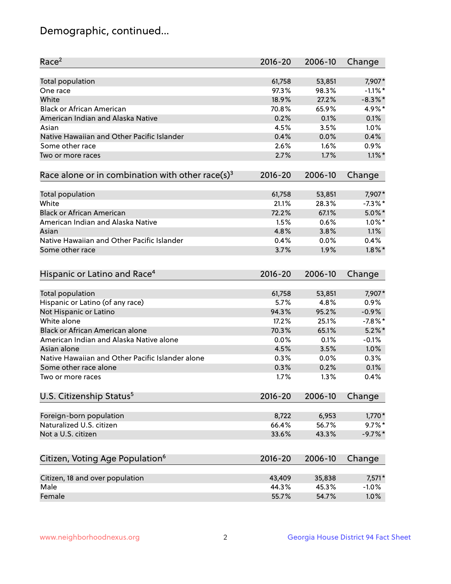## Demographic, continued...

| Race <sup>2</sup>                                            | $2016 - 20$ | 2006-10 | Change     |
|--------------------------------------------------------------|-------------|---------|------------|
| Total population                                             | 61,758      | 53,851  | 7,907*     |
| One race                                                     | 97.3%       | 98.3%   | $-1.1\%$ * |
| White                                                        | 18.9%       | 27.2%   | $-8.3\%$ * |
| <b>Black or African American</b>                             | 70.8%       | 65.9%   | 4.9%*      |
| American Indian and Alaska Native                            | 0.2%        | 0.1%    | 0.1%       |
| Asian                                                        | 4.5%        | 3.5%    | 1.0%       |
| Native Hawaiian and Other Pacific Islander                   | 0.4%        | 0.0%    | 0.4%       |
| Some other race                                              | 2.6%        | 1.6%    | 0.9%       |
| Two or more races                                            | 2.7%        | 1.7%    | $1.1\%$ *  |
| Race alone or in combination with other race(s) <sup>3</sup> | $2016 - 20$ | 2006-10 | Change     |
|                                                              |             |         |            |
| <b>Total population</b>                                      | 61,758      | 53,851  | 7,907*     |
| White                                                        | 21.1%       | 28.3%   | $-7.3\%$ * |
| <b>Black or African American</b>                             | 72.2%       | 67.1%   | $5.0\%$ *  |
| American Indian and Alaska Native                            | 1.5%        | 0.6%    | $1.0\%$ *  |
| Asian                                                        | 4.8%        | 3.8%    | 1.1%       |
| Native Hawaiian and Other Pacific Islander                   | 0.4%        | 0.0%    | 0.4%       |
| Some other race                                              | 3.7%        | 1.9%    | $1.8\%$ *  |
|                                                              |             |         |            |
| Hispanic or Latino and Race <sup>4</sup>                     | $2016 - 20$ | 2006-10 | Change     |
| Total population                                             | 61,758      | 53,851  | 7,907*     |
| Hispanic or Latino (of any race)                             | 5.7%        | 4.8%    | 0.9%       |
| Not Hispanic or Latino                                       | 94.3%       | 95.2%   | $-0.9%$    |
| White alone                                                  | 17.2%       | 25.1%   | $-7.8%$ *  |
| Black or African American alone                              | 70.3%       | 65.1%   | $5.2\%$ *  |
| American Indian and Alaska Native alone                      | 0.0%        | 0.1%    | $-0.1%$    |
| Asian alone                                                  | 4.5%        | 3.5%    | 1.0%       |
| Native Hawaiian and Other Pacific Islander alone             | 0.3%        | 0.0%    | 0.3%       |
| Some other race alone                                        | 0.3%        | 0.2%    | 0.1%       |
| Two or more races                                            | 1.7%        | 1.3%    | 0.4%       |
| U.S. Citizenship Status <sup>5</sup>                         | $2016 - 20$ | 2006-10 | Change     |
|                                                              |             |         |            |
| Foreign-born population                                      | 8,722       | 6,953   | $1,770*$   |
| Naturalized U.S. citizen                                     | 66.4%       | 56.7%   | $9.7\%$ *  |
| Not a U.S. citizen                                           | 33.6%       | 43.3%   | $-9.7%$ *  |
|                                                              |             |         |            |
| Citizen, Voting Age Population <sup>6</sup>                  | $2016 - 20$ | 2006-10 | Change     |
| Citizen, 18 and over population                              | 43,409      | 35,838  | 7,571*     |
| Male                                                         | 44.3%       | 45.3%   | $-1.0%$    |
| Female                                                       | 55.7%       | 54.7%   | 1.0%       |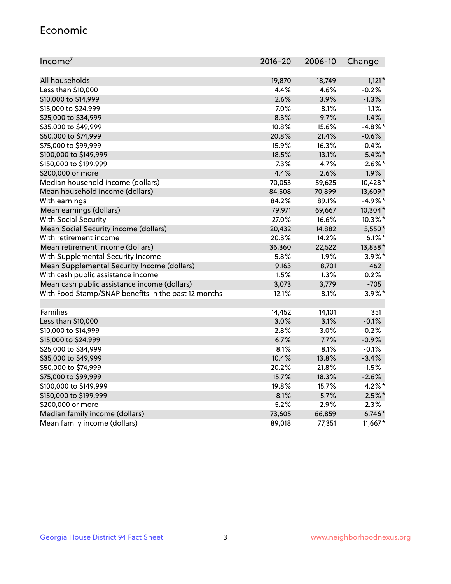#### Economic

| Income <sup>7</sup>                                 | $2016 - 20$ | 2006-10 | Change     |
|-----------------------------------------------------|-------------|---------|------------|
|                                                     |             |         |            |
| All households                                      | 19,870      | 18,749  | $1,121*$   |
| Less than \$10,000                                  | 4.4%        | 4.6%    | $-0.2%$    |
| \$10,000 to \$14,999                                | 2.6%        | 3.9%    | $-1.3%$    |
| \$15,000 to \$24,999                                | 7.0%        | 8.1%    | $-1.1%$    |
| \$25,000 to \$34,999                                | 8.3%        | 9.7%    | $-1.4%$    |
| \$35,000 to \$49,999                                | 10.8%       | 15.6%   | $-4.8\%$ * |
| \$50,000 to \$74,999                                | 20.8%       | 21.4%   | $-0.6%$    |
| \$75,000 to \$99,999                                | 15.9%       | 16.3%   | $-0.4%$    |
| \$100,000 to \$149,999                              | 18.5%       | 13.1%   | $5.4\%$ *  |
| \$150,000 to \$199,999                              | 7.3%        | 4.7%    | $2.6\%$ *  |
| \$200,000 or more                                   | 4.4%        | 2.6%    | 1.9%       |
| Median household income (dollars)                   | 70,053      | 59,625  | 10,428*    |
| Mean household income (dollars)                     | 84,508      | 70,899  | 13,609*    |
| With earnings                                       | 84.2%       | 89.1%   | $-4.9%$ *  |
| Mean earnings (dollars)                             | 79,971      | 69,667  | 10,304*    |
| <b>With Social Security</b>                         | 27.0%       | 16.6%   | $10.3\%$ * |
| Mean Social Security income (dollars)               | 20,432      | 14,882  | 5,550*     |
| With retirement income                              | 20.3%       | 14.2%   | $6.1\%$ *  |
| Mean retirement income (dollars)                    | 36,360      | 22,522  | 13,838*    |
| With Supplemental Security Income                   | 5.8%        | 1.9%    | $3.9\%$ *  |
| Mean Supplemental Security Income (dollars)         | 9,163       | 8,701   | 462        |
| With cash public assistance income                  | 1.5%        | 1.3%    | 0.2%       |
| Mean cash public assistance income (dollars)        | 3,073       | 3,779   | $-705$     |
| With Food Stamp/SNAP benefits in the past 12 months | 12.1%       | 8.1%    | $3.9\%$ *  |
|                                                     |             |         |            |
| Families                                            | 14,452      | 14,101  | 351        |
| Less than \$10,000                                  | 3.0%        | 3.1%    | $-0.1%$    |
| \$10,000 to \$14,999                                | 2.8%        | 3.0%    | $-0.2%$    |
| \$15,000 to \$24,999                                | 6.7%        | 7.7%    | $-0.9%$    |
| \$25,000 to \$34,999                                | 8.1%        | 8.1%    | $-0.1%$    |
| \$35,000 to \$49,999                                | 10.4%       | 13.8%   | $-3.4%$    |
| \$50,000 to \$74,999                                | 20.2%       | 21.8%   | $-1.5%$    |
| \$75,000 to \$99,999                                | 15.7%       | 18.3%   | $-2.6%$    |
| \$100,000 to \$149,999                              | 19.8%       | 15.7%   | $4.2\%$ *  |
| \$150,000 to \$199,999                              | 8.1%        | 5.7%    | $2.5\%$ *  |
| \$200,000 or more                                   | 5.2%        | 2.9%    | 2.3%       |
| Median family income (dollars)                      | 73,605      | 66,859  | $6,746*$   |
| Mean family income (dollars)                        | 89,018      | 77,351  | 11,667*    |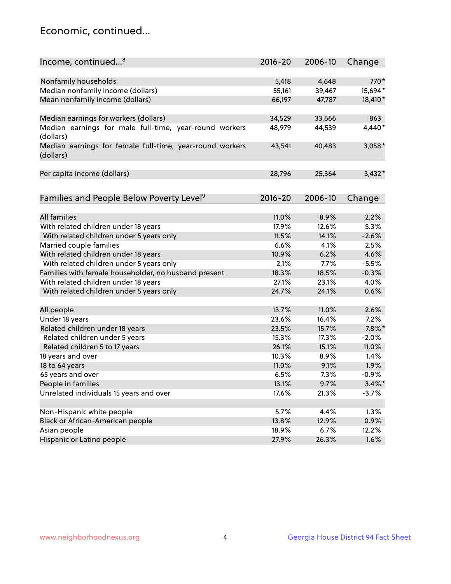## Economic, continued...

| Income, continued <sup>8</sup>                                        | $2016 - 20$ | 2006-10 | Change    |
|-----------------------------------------------------------------------|-------------|---------|-----------|
|                                                                       |             |         |           |
| Nonfamily households                                                  | 5,418       | 4,648   | 770*      |
| Median nonfamily income (dollars)                                     | 55,161      | 39,467  | 15,694*   |
| Mean nonfamily income (dollars)                                       | 66,197      | 47,787  | 18,410*   |
| Median earnings for workers (dollars)                                 | 34,529      | 33,666  | 863       |
| Median earnings for male full-time, year-round workers                | 48,979      | 44,539  | 4,440*    |
| (dollars)                                                             |             |         |           |
| Median earnings for female full-time, year-round workers<br>(dollars) | 43,541      | 40,483  | 3,058*    |
| Per capita income (dollars)                                           | 28,796      | 25,364  | $3,432*$  |
|                                                                       |             |         |           |
| Families and People Below Poverty Level <sup>9</sup>                  | 2016-20     | 2006-10 | Change    |
|                                                                       |             |         |           |
| <b>All families</b>                                                   | 11.0%       | 8.9%    | 2.2%      |
| With related children under 18 years                                  | 17.9%       | 12.6%   | 5.3%      |
| With related children under 5 years only                              | 11.5%       | 14.1%   | $-2.6%$   |
| Married couple families                                               | 6.6%        | 4.1%    | 2.5%      |
| With related children under 18 years                                  | 10.9%       | 6.2%    | 4.6%      |
| With related children under 5 years only                              | 2.1%        | 7.7%    | $-5.5%$   |
| Families with female householder, no husband present                  | 18.3%       | 18.5%   | $-0.3%$   |
| With related children under 18 years                                  | 27.1%       | 23.1%   | 4.0%      |
| With related children under 5 years only                              | 24.7%       | 24.1%   | 0.6%      |
| All people                                                            | 13.7%       | 11.0%   | 2.6%      |
| Under 18 years                                                        | 23.6%       | 16.4%   | 7.2%      |
| Related children under 18 years                                       | 23.5%       | 15.7%   | $7.8\%$ * |
| Related children under 5 years                                        | 15.3%       | 17.3%   | $-2.0%$   |
| Related children 5 to 17 years                                        | 26.1%       | 15.1%   | 11.0%     |
| 18 years and over                                                     | 10.3%       | 8.9%    | 1.4%      |
| 18 to 64 years                                                        | 11.0%       | 9.1%    | 1.9%      |
| 65 years and over                                                     | 6.5%        | 7.3%    | $-0.9%$   |
| People in families                                                    | 13.1%       | 9.7%    | $3.4\%$ * |
| Unrelated individuals 15 years and over                               | 17.6%       | 21.3%   | $-3.7%$   |
|                                                                       |             |         |           |
| Non-Hispanic white people                                             | 5.7%        | 4.4%    | 1.3%      |
| Black or African-American people                                      | 13.8%       | 12.9%   | 0.9%      |
| Asian people                                                          | 18.9%       | 6.7%    | 12.2%     |
| Hispanic or Latino people                                             | 27.9%       | 26.3%   | 1.6%      |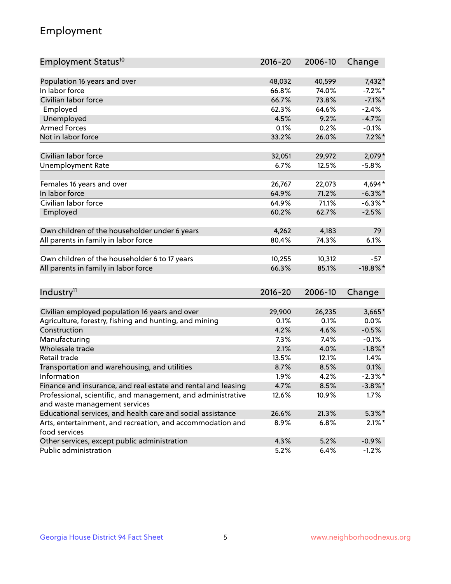## Employment

| Employment Status <sup>10</sup>                                                               | $2016 - 20$ | 2006-10 | Change      |
|-----------------------------------------------------------------------------------------------|-------------|---------|-------------|
|                                                                                               |             |         |             |
| Population 16 years and over                                                                  | 48,032      | 40,599  | 7,432*      |
| In labor force                                                                                | 66.8%       | 74.0%   | $-7.2%$ *   |
| Civilian labor force                                                                          | 66.7%       | 73.8%   | $-7.1\%$ *  |
| Employed                                                                                      | 62.3%       | 64.6%   | $-2.4%$     |
| Unemployed                                                                                    | 4.5%        | 9.2%    | $-4.7%$     |
| <b>Armed Forces</b>                                                                           | 0.1%        | 0.2%    | $-0.1%$     |
| Not in labor force                                                                            | 33.2%       | 26.0%   | $7.2\%$ *   |
| Civilian labor force                                                                          | 32,051      | 29,972  | $2,079*$    |
| <b>Unemployment Rate</b>                                                                      | 6.7%        | 12.5%   | $-5.8%$     |
|                                                                                               |             |         |             |
| Females 16 years and over                                                                     | 26,767      | 22,073  | 4,694*      |
| In labor force                                                                                | 64.9%       | 71.2%   | $-6.3\%$ *  |
| Civilian labor force                                                                          | 64.9%       | 71.1%   | $-6.3\%$ *  |
| Employed                                                                                      | 60.2%       | 62.7%   | $-2.5%$     |
| Own children of the householder under 6 years                                                 | 4,262       | 4,183   | 79          |
| All parents in family in labor force                                                          | 80.4%       | 74.3%   | 6.1%        |
|                                                                                               |             |         |             |
| Own children of the householder 6 to 17 years                                                 | 10,255      | 10,312  | $-57$       |
| All parents in family in labor force                                                          | 66.3%       | 85.1%   | $-18.8\%$ * |
|                                                                                               |             |         |             |
| Industry <sup>11</sup>                                                                        | $2016 - 20$ | 2006-10 | Change      |
|                                                                                               |             |         |             |
| Civilian employed population 16 years and over                                                | 29,900      | 26,235  | $3,665*$    |
| Agriculture, forestry, fishing and hunting, and mining                                        | 0.1%        | 0.1%    | 0.0%        |
| Construction                                                                                  | 4.2%        | 4.6%    | $-0.5%$     |
| Manufacturing                                                                                 | 7.3%        | 7.4%    | $-0.1%$     |
| Wholesale trade                                                                               | 2.1%        | 4.0%    | $-1.8\%$ *  |
| Retail trade                                                                                  | 13.5%       | 12.1%   | 1.4%        |
| Transportation and warehousing, and utilities                                                 | 8.7%        | 8.5%    | 0.1%        |
| Information                                                                                   | 1.9%        | 4.2%    | $-2.3\%$ *  |
| Finance and insurance, and real estate and rental and leasing                                 | 4.7%        | 8.5%    | $-3.8\%$ *  |
| Professional, scientific, and management, and administrative<br>and waste management services | 12.6%       | 10.9%   | 1.7%        |
| Educational services, and health care and social assistance                                   | 26.6%       | 21.3%   | $5.3\%$ *   |
| Arts, entertainment, and recreation, and accommodation and                                    | 8.9%        | 6.8%    | $2.1\%$ *   |
| food services                                                                                 |             |         |             |
| Other services, except public administration                                                  | 4.3%        | 5.2%    | $-0.9%$     |
| Public administration                                                                         | 5.2%        | 6.4%    | $-1.2%$     |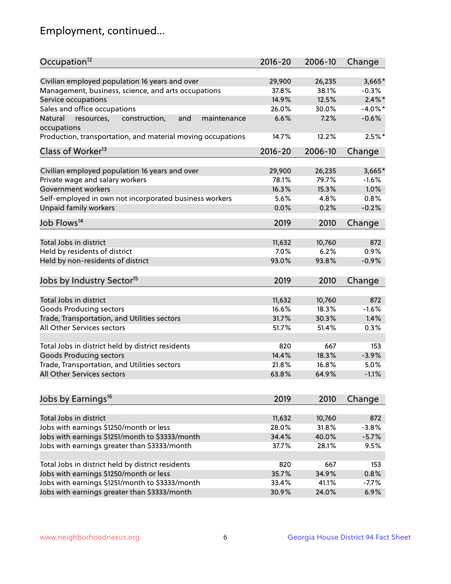## Employment, continued...

| Occupation <sup>12</sup>                                     | $2016 - 20$ | 2006-10 | Change     |
|--------------------------------------------------------------|-------------|---------|------------|
| Civilian employed population 16 years and over               | 29,900      | 26,235  | $3,665*$   |
| Management, business, science, and arts occupations          | 37.8%       | 38.1%   | $-0.3%$    |
| Service occupations                                          | 14.9%       | 12.5%   | $2.4\%$ *  |
| Sales and office occupations                                 | 26.0%       | 30.0%   | $-4.0\%$ * |
| Natural<br>and<br>resources,<br>construction,<br>maintenance | 6.6%        | 7.2%    | $-0.6%$    |
| occupations                                                  |             |         |            |
| Production, transportation, and material moving occupations  | 14.7%       | 12.2%   | $2.5%$ *   |
| Class of Worker <sup>13</sup>                                | $2016 - 20$ | 2006-10 | Change     |
|                                                              |             |         |            |
| Civilian employed population 16 years and over               | 29,900      | 26,235  | 3,665*     |
| Private wage and salary workers                              | 78.1%       | 79.7%   | $-1.6%$    |
| Government workers                                           | 16.3%       | 15.3%   | 1.0%       |
| Self-employed in own not incorporated business workers       | 5.6%        | 4.8%    | 0.8%       |
| Unpaid family workers                                        | 0.0%        | 0.2%    | $-0.2%$    |
| Job Flows <sup>14</sup>                                      | 2019        | 2010    | Change     |
|                                                              |             |         |            |
| Total Jobs in district                                       | 11,632      | 10,760  | 872        |
| Held by residents of district                                | 7.0%        | 6.2%    | 0.9%       |
| Held by non-residents of district                            | 93.0%       | 93.8%   | $-0.9%$    |
| Jobs by Industry Sector <sup>15</sup>                        | 2019        | 2010    | Change     |
|                                                              |             |         |            |
| Total Jobs in district                                       | 11,632      | 10,760  | 872        |
| Goods Producing sectors                                      | 16.6%       | 18.3%   | $-1.6%$    |
| Trade, Transportation, and Utilities sectors                 | 31.7%       | 30.3%   | 1.4%       |
| All Other Services sectors                                   | 51.7%       | 51.4%   | 0.3%       |
|                                                              |             |         |            |
| Total Jobs in district held by district residents            | 820         | 667     | 153        |
| <b>Goods Producing sectors</b>                               | 14.4%       | 18.3%   | $-3.9%$    |
| Trade, Transportation, and Utilities sectors                 | 21.8%       | 16.8%   | 5.0%       |
| All Other Services sectors                                   | 63.8%       | 64.9%   | $-1.1%$    |
|                                                              |             |         |            |
| Jobs by Earnings <sup>16</sup>                               | 2019        | 2010    | Change     |
| Total Jobs in district                                       | 11,632      | 10,760  | 872        |
| Jobs with earnings \$1250/month or less                      | 28.0%       | 31.8%   | $-3.8%$    |
| Jobs with earnings \$1251/month to \$3333/month              | 34.4%       | 40.0%   | $-5.7%$    |
|                                                              |             |         |            |
| Jobs with earnings greater than \$3333/month                 | 37.7%       | 28.1%   | 9.5%       |
| Total Jobs in district held by district residents            | 820         | 667     | 153        |
| Jobs with earnings \$1250/month or less                      | 35.7%       | 34.9%   | 0.8%       |
| Jobs with earnings \$1251/month to \$3333/month              | 33.4%       | 41.1%   | $-7.7%$    |
| Jobs with earnings greater than \$3333/month                 | 30.9%       | 24.0%   | 6.9%       |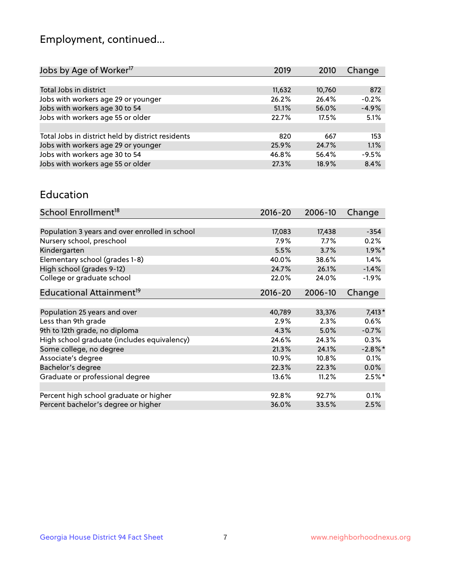## Employment, continued...

| Jobs by Age of Worker <sup>17</sup>               | 2019   | 2010   | Change  |
|---------------------------------------------------|--------|--------|---------|
|                                                   |        |        |         |
| Total Jobs in district                            | 11,632 | 10,760 | 872     |
| Jobs with workers age 29 or younger               | 26.2%  | 26.4%  | $-0.2%$ |
| Jobs with workers age 30 to 54                    | 51.1%  | 56.0%  | $-4.9%$ |
| Jobs with workers age 55 or older                 | 22.7%  | 17.5%  | 5.1%    |
|                                                   |        |        |         |
| Total Jobs in district held by district residents | 820    | 667    | 153     |
| Jobs with workers age 29 or younger               | 25.9%  | 24.7%  | 1.1%    |
| Jobs with workers age 30 to 54                    | 46.8%  | 56.4%  | $-9.5%$ |
| Jobs with workers age 55 or older                 | 27.3%  | 18.9%  | 8.4%    |

#### Education

| School Enrollment <sup>18</sup>                | $2016 - 20$ | 2006-10 | Change     |
|------------------------------------------------|-------------|---------|------------|
|                                                |             |         |            |
| Population 3 years and over enrolled in school | 17,083      | 17,438  | $-354$     |
| Nursery school, preschool                      | 7.9%        | $7.7\%$ | 0.2%       |
| Kindergarten                                   | 5.5%        | 3.7%    | $1.9\%$ *  |
| Elementary school (grades 1-8)                 | 40.0%       | 38.6%   | 1.4%       |
| High school (grades 9-12)                      | 24.7%       | 26.1%   | $-1.4%$    |
| College or graduate school                     | 22.0%       | 24.0%   | $-1.9\%$   |
| Educational Attainment <sup>19</sup>           | $2016 - 20$ | 2006-10 | Change     |
|                                                |             |         |            |
| Population 25 years and over                   | 40,789      | 33,376  | $7,413*$   |
| Less than 9th grade                            | 2.9%        | 2.3%    | 0.6%       |
| 9th to 12th grade, no diploma                  | 4.3%        | 5.0%    | $-0.7%$    |
| High school graduate (includes equivalency)    | 24.6%       | 24.3%   | 0.3%       |
| Some college, no degree                        | 21.3%       | 24.1%   | $-2.8\%$ * |
| Associate's degree                             | 10.9%       | 10.8%   | 0.1%       |
| Bachelor's degree                              | 22.3%       | 22.3%   | $0.0\%$    |
| Graduate or professional degree                | 13.6%       | 11.2%   | $2.5%$ *   |
|                                                |             |         |            |
| Percent high school graduate or higher         | 92.8%       | 92.7%   | 0.1%       |
| Percent bachelor's degree or higher            | 36.0%       | 33.5%   | 2.5%       |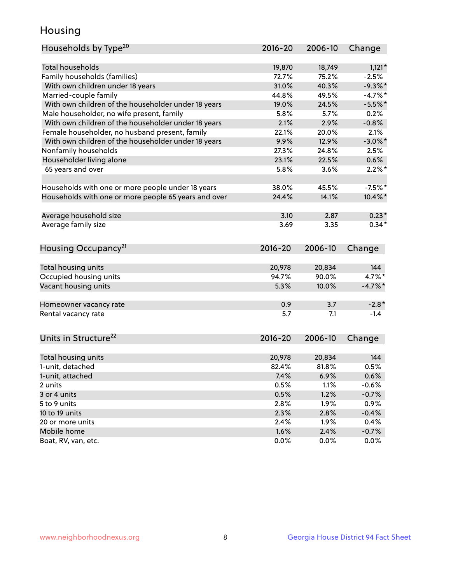## Housing

| Households by Type <sup>20</sup>                     | $2016 - 20$     | 2006-10         | Change          |
|------------------------------------------------------|-----------------|-----------------|-----------------|
| <b>Total households</b>                              |                 |                 |                 |
|                                                      | 19,870<br>72.7% | 18,749<br>75.2% | $1,121*$        |
| Family households (families)                         | 31.0%           | 40.3%           | $-2.5%$         |
| With own children under 18 years                     |                 |                 | $-9.3%$ *       |
| Married-couple family                                | 44.8%           | 49.5%           | $-4.7%$ *       |
| With own children of the householder under 18 years  | 19.0%           | 24.5%           | $-5.5%$ *       |
| Male householder, no wife present, family            | 5.8%            | 5.7%            | 0.2%            |
| With own children of the householder under 18 years  | 2.1%            | 2.9%            | $-0.8%$         |
| Female householder, no husband present, family       | 22.1%           | 20.0%           | 2.1%            |
| With own children of the householder under 18 years  | 9.9%            | 12.9%           | $-3.0\%$ *      |
| Nonfamily households                                 | 27.3%           | 24.8%           | 2.5%            |
| Householder living alone                             | 23.1%           | 22.5%           | 0.6%            |
| 65 years and over                                    | 5.8%            | 3.6%            | $2.2\%$ *       |
| Households with one or more people under 18 years    | 38.0%           | 45.5%           | $-7.5%$ *       |
| Households with one or more people 65 years and over | 24.4%           | 14.1%           | 10.4%*          |
|                                                      | 3.10            | 2.87            | $0.23*$         |
| Average household size                               | 3.69            | 3.35            | $0.34*$         |
| Average family size                                  |                 |                 |                 |
| Housing Occupancy <sup>21</sup>                      | 2016-20         | 2006-10         | Change          |
| Total housing units                                  | 20,978          | 20,834          | 144             |
| Occupied housing units                               | 94.7%           | 90.0%           | 4.7%*           |
| Vacant housing units                                 | 5.3%            | 10.0%           | $-4.7\%$ *      |
|                                                      |                 |                 |                 |
| Homeowner vacancy rate                               | 0.9             | 3.7             | $-2.8*$         |
| Rental vacancy rate                                  | 5.7             | 7.1             | $-1.4$          |
| Units in Structure <sup>22</sup>                     | $2016 - 20$     | 2006-10         | Change          |
| Total housing units                                  | 20,978          | 20,834          | 144             |
| 1-unit, detached                                     |                 |                 |                 |
|                                                      |                 |                 |                 |
|                                                      | 82.4%           | 81.8%           | 0.5%            |
| 1-unit, attached                                     | 7.4%            | 6.9%            | 0.6%            |
| 2 units                                              | 0.5%            | 1.1%            | $-0.6%$         |
| 3 or 4 units                                         | 0.5%            | 1.2%            | $-0.7%$         |
| 5 to 9 units                                         | 2.8%            | 1.9%            | 0.9%            |
| 10 to 19 units                                       | 2.3%            | 2.8%            | $-0.4%$         |
| 20 or more units                                     | 2.4%            | 1.9%            | 0.4%            |
| Mobile home<br>Boat, RV, van, etc.                   | 1.6%<br>0.0%    | 2.4%<br>0.0%    | $-0.7%$<br>0.0% |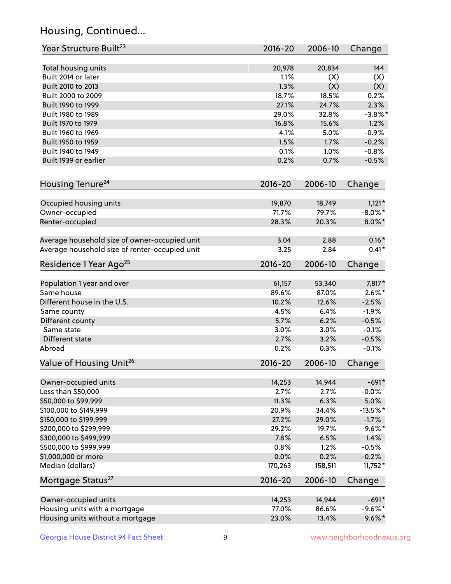## Housing, Continued...

| Year Structure Built <sup>23</sup>             | 2016-20     | 2006-10 | Change     |
|------------------------------------------------|-------------|---------|------------|
| Total housing units                            | 20,978      | 20,834  | 144        |
| Built 2014 or later                            | 1.1%        | (X)     | (X)        |
| Built 2010 to 2013                             | 1.3%        | (X)     | (X)        |
| Built 2000 to 2009                             | 18.7%       | 18.5%   | 0.2%       |
| Built 1990 to 1999                             | 27.1%       | 24.7%   | 2.3%       |
| Built 1980 to 1989                             | 29.0%       | 32.8%   | $-3.8\%$ * |
| Built 1970 to 1979                             | 16.8%       | 15.6%   | 1.2%       |
| Built 1960 to 1969                             | 4.1%        | 5.0%    | $-0.9%$    |
| Built 1950 to 1959                             | 1.5%        | 1.7%    | $-0.2%$    |
| Built 1940 to 1949                             | 0.1%        | 1.0%    | $-0.8%$    |
| Built 1939 or earlier                          | 0.2%        | 0.7%    | $-0.5%$    |
|                                                |             |         |            |
| Housing Tenure <sup>24</sup>                   | $2016 - 20$ | 2006-10 | Change     |
| Occupied housing units                         | 19,870      | 18,749  | $1,121*$   |
| Owner-occupied                                 | 71.7%       | 79.7%   | $-8.0\%$ * |
| Renter-occupied                                | 28.3%       | 20.3%   | $8.0\%$ *  |
| Average household size of owner-occupied unit  | 3.04        | 2.88    | $0.16*$    |
| Average household size of renter-occupied unit | 3.25        | 2.84    | $0.41*$    |
| Residence 1 Year Ago <sup>25</sup>             | 2016-20     | 2006-10 | Change     |
|                                                |             |         |            |
| Population 1 year and over                     | 61,157      | 53,340  | 7,817*     |
| Same house                                     | 89.6%       | 87.0%   | $2.6\%$ *  |
| Different house in the U.S.                    | 10.2%       | 12.6%   | $-2.5%$    |
| Same county                                    | 4.5%        | 6.4%    | $-1.9%$    |
| Different county                               | 5.7%        | 6.2%    | $-0.5%$    |
| Same state                                     | 3.0%        | 3.0%    | $-0.1%$    |
| Different state                                | 2.7%        | 3.2%    | $-0.5%$    |
| Abroad                                         | 0.2%        | 0.3%    | $-0.1%$    |
| Value of Housing Unit <sup>26</sup>            | $2016 - 20$ | 2006-10 | Change     |
| Owner-occupied units                           | 14,253      | 14,944  | $-691*$    |
| Less than \$50,000                             | 2.7%        | 2.7%    | $-0.0%$    |
| \$50,000 to \$99,999                           | 11.3%       | 6.3%    | 5.0%       |
| \$100,000 to \$149,999                         | 20.9%       | 34.4%   | $-13.5%$ * |
| \$150,000 to \$199,999                         | 27.2%       | 29.0%   | $-1.7%$    |
| \$200,000 to \$299,999                         | 29.2%       | 19.7%   | $9.6\%$ *  |
| \$300,000 to \$499,999                         | 7.8%        | 6.5%    | 1.4%       |
| \$500,000 to \$999,999                         | 0.8%        | 1.2%    | $-0.5%$    |
| \$1,000,000 or more                            | 0.0%        | 0.2%    | $-0.2%$    |
| Median (dollars)                               | 170,263     | 158,511 | $11,752*$  |
| Mortgage Status <sup>27</sup>                  | $2016 - 20$ | 2006-10 | Change     |
|                                                |             |         |            |
| Owner-occupied units                           | 14,253      | 14,944  | $-691*$    |
| Housing units with a mortgage                  | 77.0%       | 86.6%   | $-9.6%$ *  |
| Housing units without a mortgage               | 23.0%       | 13.4%   | $9.6\% *$  |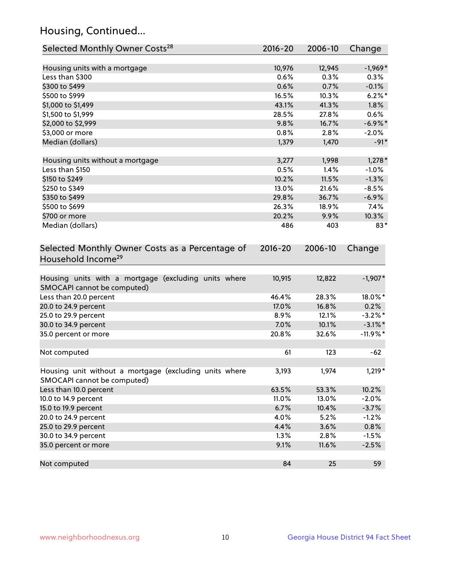## Housing, Continued...

| Selected Monthly Owner Costs <sup>28</sup>                                            | $2016 - 20$ | 2006-10 | Change     |
|---------------------------------------------------------------------------------------|-------------|---------|------------|
| Housing units with a mortgage                                                         | 10,976      | 12,945  | $-1,969*$  |
| Less than \$300                                                                       | 0.6%        | 0.3%    | 0.3%       |
| \$300 to \$499                                                                        | 0.6%        | 0.7%    | $-0.1%$    |
| \$500 to \$999                                                                        | 16.5%       | 10.3%   | $6.2\%$ *  |
| \$1,000 to \$1,499                                                                    | 43.1%       | 41.3%   | 1.8%       |
| \$1,500 to \$1,999                                                                    | 28.5%       | 27.8%   | 0.6%       |
| \$2,000 to \$2,999                                                                    | 9.8%        | 16.7%   | $-6.9\%$ * |
| \$3,000 or more                                                                       | 0.8%        | 2.8%    | $-2.0%$    |
| Median (dollars)                                                                      | 1,379       | 1,470   | $-91*$     |
| Housing units without a mortgage                                                      | 3,277       | 1,998   | $1,278*$   |
| Less than \$150                                                                       | 0.5%        | 1.4%    | $-1.0%$    |
| \$150 to \$249                                                                        | 10.2%       | 11.5%   | $-1.3%$    |
| \$250 to \$349                                                                        | 13.0%       | 21.6%   | $-8.5%$    |
| \$350 to \$499                                                                        | 29.8%       | 36.7%   | $-6.9%$    |
| \$500 to \$699                                                                        | 26.3%       | 18.9%   | 7.4%       |
| \$700 or more                                                                         | 20.2%       | 9.9%    | 10.3%      |
| Median (dollars)                                                                      | 486         | 403     | $83*$      |
| Selected Monthly Owner Costs as a Percentage of<br>Household Income <sup>29</sup>     | $2016 - 20$ | 2006-10 | Change     |
| Housing units with a mortgage (excluding units where<br>SMOCAPI cannot be computed)   | 10,915      | 12,822  | $-1,907*$  |
| Less than 20.0 percent                                                                | 46.4%       | 28.3%   | 18.0%*     |
| 20.0 to 24.9 percent                                                                  | 17.0%       | 16.8%   | 0.2%       |
| 25.0 to 29.9 percent                                                                  | 8.9%        | 12.1%   | $-3.2\%$ * |
| 30.0 to 34.9 percent                                                                  | 7.0%        | 10.1%   | $-3.1\%$ * |
| 35.0 percent or more                                                                  | 20.8%       | 32.6%   | $-11.9%$ * |
| Not computed                                                                          | 61          | 123     | $-62$      |
| Housing unit without a mortgage (excluding units where<br>SMOCAPI cannot be computed) | 3,193       | 1,974   | $1,219*$   |
| Less than 10.0 percent                                                                | 63.5%       | 53.3%   | 10.2%      |
| 10.0 to 14.9 percent                                                                  | 11.0%       | 13.0%   | $-2.0%$    |
| 15.0 to 19.9 percent                                                                  | 6.7%        | 10.4%   | $-3.7%$    |
| 20.0 to 24.9 percent                                                                  | 4.0%        | 5.2%    | $-1.2%$    |
| 25.0 to 29.9 percent                                                                  | 4.4%        | 3.6%    | 0.8%       |
| 30.0 to 34.9 percent                                                                  | 1.3%        | 2.8%    | $-1.5%$    |
| 35.0 percent or more                                                                  | 9.1%        | 11.6%   | $-2.5%$    |
| Not computed                                                                          | 84          | 25      | 59         |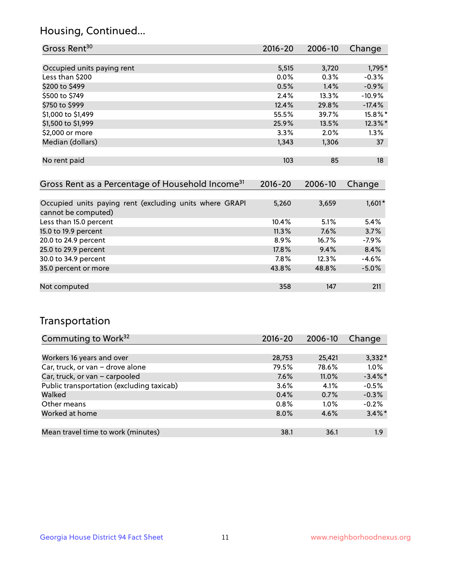## Housing, Continued...

| Gross Rent <sup>30</sup>   | 2016-20 | 2006-10 | Change     |
|----------------------------|---------|---------|------------|
|                            |         |         |            |
| Occupied units paying rent | 5,515   | 3,720   | 1,795*     |
| Less than \$200            | $0.0\%$ | 0.3%    | $-0.3%$    |
| \$200 to \$499             | 0.5%    | 1.4%    | $-0.9%$    |
| \$500 to \$749             | 2.4%    | 13.3%   | $-10.9%$   |
| \$750 to \$999             | 12.4%   | 29.8%   | $-17.4%$   |
| \$1,000 to \$1,499         | 55.5%   | 39.7%   | 15.8%*     |
| \$1,500 to \$1,999         | 25.9%   | 13.5%   | $12.3\%$ * |
| \$2,000 or more            | 3.3%    | 2.0%    | 1.3%       |
| Median (dollars)           | 1,343   | 1,306   | 37         |
|                            |         |         |            |
| No rent paid               | 103     | 85      | 18         |

| Gross Rent as a Percentage of Household Income <sup>31</sup>                   | $2016 - 20$ | 2006-10 | Change   |
|--------------------------------------------------------------------------------|-------------|---------|----------|
|                                                                                |             |         |          |
| Occupied units paying rent (excluding units where GRAPI<br>cannot be computed) | 5,260       | 3,659   | $1,601*$ |
| Less than 15.0 percent                                                         | 10.4%       | 5.1%    | 5.4%     |
| 15.0 to 19.9 percent                                                           | 11.3%       | 7.6%    | 3.7%     |
| 20.0 to 24.9 percent                                                           | $8.9\%$     | 16.7%   | $-7.9%$  |
| 25.0 to 29.9 percent                                                           | 17.8%       | 9.4%    | 8.4%     |
| 30.0 to 34.9 percent                                                           | 7.8%        | 12.3%   | $-4.6%$  |
| 35.0 percent or more                                                           | 43.8%       | 48.8%   | $-5.0%$  |
|                                                                                |             |         |          |
| Not computed                                                                   | 358         | 147     | 211      |

## Transportation

| Commuting to Work <sup>32</sup>           | 2016-20 | 2006-10  | Change     |
|-------------------------------------------|---------|----------|------------|
|                                           |         |          |            |
| Workers 16 years and over                 | 28,753  | 25,421   | $3,332*$   |
| Car, truck, or van - drove alone          | 79.5%   | 78.6%    | 1.0%       |
| Car, truck, or van - carpooled            | 7.6%    | $11.0\%$ | $-3.4\%$ * |
| Public transportation (excluding taxicab) | 3.6%    | 4.1%     | $-0.5%$    |
| Walked                                    | 0.4%    | 0.7%     | $-0.3%$    |
| Other means                               | 0.8%    | $1.0\%$  | $-0.2%$    |
| Worked at home                            | 8.0%    | 4.6%     | $3.4\%$ *  |
|                                           |         |          |            |
| Mean travel time to work (minutes)        | 38.1    | 36.1     | 1.9        |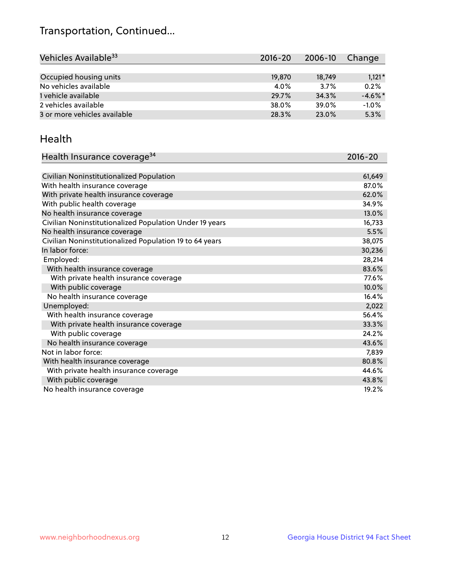## Transportation, Continued...

| Vehicles Available <sup>33</sup> | $2016 - 20$ | 2006-10 | Change     |
|----------------------------------|-------------|---------|------------|
|                                  |             |         |            |
| Occupied housing units           | 19,870      | 18.749  | $1,121*$   |
| No vehicles available            | 4.0%        | 3.7%    | 0.2%       |
| 1 vehicle available              | 29.7%       | 34.3%   | $-4.6\%$ * |
| 2 vehicles available             | 38.0%       | 39.0%   | $-1.0%$    |
| 3 or more vehicles available     | 28.3%       | 23.0%   | 5.3%       |

#### Health

| Health Insurance coverage <sup>34</sup>                 | 2016-20 |
|---------------------------------------------------------|---------|
|                                                         |         |
| Civilian Noninstitutionalized Population                | 61,649  |
| With health insurance coverage                          | 87.0%   |
| With private health insurance coverage                  | 62.0%   |
| With public health coverage                             | 34.9%   |
| No health insurance coverage                            | 13.0%   |
| Civilian Noninstitutionalized Population Under 19 years | 16,733  |
| No health insurance coverage                            | 5.5%    |
| Civilian Noninstitutionalized Population 19 to 64 years | 38,075  |
| In labor force:                                         | 30,236  |
| Employed:                                               | 28,214  |
| With health insurance coverage                          | 83.6%   |
| With private health insurance coverage                  | 77.6%   |
| With public coverage                                    | 10.0%   |
| No health insurance coverage                            | 16.4%   |
| Unemployed:                                             | 2,022   |
| With health insurance coverage                          | 56.4%   |
| With private health insurance coverage                  | 33.3%   |
| With public coverage                                    | 24.2%   |
| No health insurance coverage                            | 43.6%   |
| Not in labor force:                                     | 7,839   |
| With health insurance coverage                          | 80.8%   |
| With private health insurance coverage                  | 44.6%   |
| With public coverage                                    | 43.8%   |
| No health insurance coverage                            | 19.2%   |